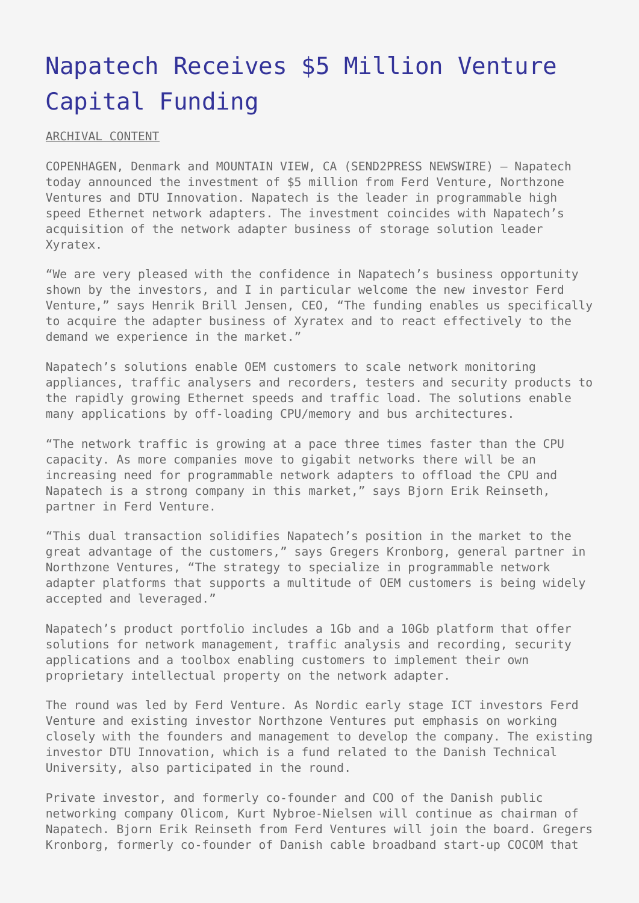# [Napatech Receives \\$5 Million Venture](https://www.send2press.com/wire/2006-03-0324-002/) [Capital Funding](https://www.send2press.com/wire/2006-03-0324-002/)

ARCHIVAL CONTENT

COPENHAGEN, Denmark and MOUNTAIN VIEW, CA (SEND2PRESS NEWSWIRE) — Napatech today announced the investment of \$5 million from Ferd Venture, Northzone Ventures and DTU Innovation. Napatech is the leader in programmable high speed Ethernet network adapters. The investment coincides with Napatech's acquisition of the network adapter business of storage solution leader Xyratex.

"We are very pleased with the confidence in Napatech's business opportunity shown by the investors, and I in particular welcome the new investor Ferd Venture," says Henrik Brill Jensen, CEO, "The funding enables us specifically to acquire the adapter business of Xyratex and to react effectively to the demand we experience in the market."

Napatech's solutions enable OEM customers to scale network monitoring appliances, traffic analysers and recorders, testers and security products to the rapidly growing Ethernet speeds and traffic load. The solutions enable many applications by off-loading CPU/memory and bus architectures.

"The network traffic is growing at a pace three times faster than the CPU capacity. As more companies move to gigabit networks there will be an increasing need for programmable network adapters to offload the CPU and Napatech is a strong company in this market," says Bjorn Erik Reinseth, partner in Ferd Venture.

"This dual transaction solidifies Napatech's position in the market to the great advantage of the customers," says Gregers Kronborg, general partner in Northzone Ventures, "The strategy to specialize in programmable network adapter platforms that supports a multitude of OEM customers is being widely accepted and leveraged."

Napatech's product portfolio includes a 1Gb and a 10Gb platform that offer solutions for network management, traffic analysis and recording, security applications and a toolbox enabling customers to implement their own proprietary intellectual property on the network adapter.

The round was led by Ferd Venture. As Nordic early stage ICT investors Ferd Venture and existing investor Northzone Ventures put emphasis on working closely with the founders and management to develop the company. The existing investor DTU Innovation, which is a fund related to the Danish Technical University, also participated in the round.

Private investor, and formerly co-founder and COO of the Danish public networking company Olicom, Kurt Nybroe-Nielsen will continue as chairman of Napatech. Bjorn Erik Reinseth from Ferd Ventures will join the board. Gregers Kronborg, formerly co-founder of Danish cable broadband start-up COCOM that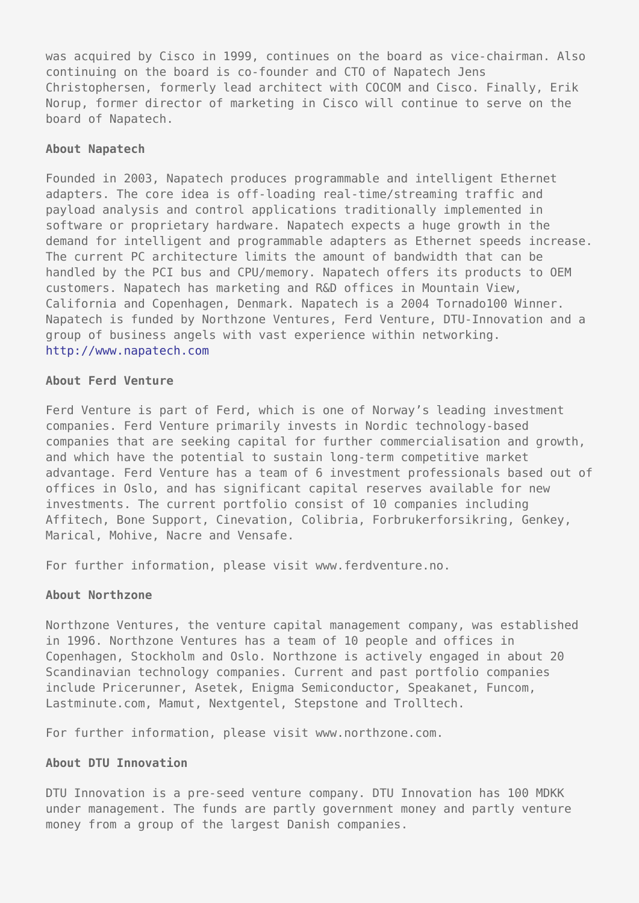was acquired by Cisco in 1999, continues on the board as vice-chairman. Also continuing on the board is co-founder and CTO of Napatech Jens Christophersen, formerly lead architect with COCOM and Cisco. Finally, Erik Norup, former director of marketing in Cisco will continue to serve on the board of Napatech.

### **About Napatech**

Founded in 2003, Napatech produces programmable and intelligent Ethernet adapters. The core idea is off-loading real-time/streaming traffic and payload analysis and control applications traditionally implemented in software or proprietary hardware. Napatech expects a huge growth in the demand for intelligent and programmable adapters as Ethernet speeds increase. The current PC architecture limits the amount of bandwidth that can be handled by the PCI bus and CPU/memory. Napatech offers its products to OEM customers. Napatech has marketing and R&D offices in Mountain View, California and Copenhagen, Denmark. Napatech is a 2004 Tornado100 Winner. Napatech is funded by Northzone Ventures, Ferd Venture, DTU-Innovation and a group of business angels with vast experience within networking. <http://www.napatech.com>

# **About Ferd Venture**

Ferd Venture is part of Ferd, which is one of Norway's leading investment companies. Ferd Venture primarily invests in Nordic technology-based companies that are seeking capital for further commercialisation and growth, and which have the potential to sustain long-term competitive market advantage. Ferd Venture has a team of 6 investment professionals based out of offices in Oslo, and has significant capital reserves available for new investments. The current portfolio consist of 10 companies including Affitech, Bone Support, Cinevation, Colibria, Forbrukerforsikring, Genkey, Marical, Mohive, Nacre and Vensafe.

For further information, please visit www.ferdventure.no.

#### **About Northzone**

Northzone Ventures, the venture capital management company, was established in 1996. Northzone Ventures has a team of 10 people and offices in Copenhagen, Stockholm and Oslo. Northzone is actively engaged in about 20 Scandinavian technology companies. Current and past portfolio companies include Pricerunner, Asetek, Enigma Semiconductor, Speakanet, Funcom, Lastminute.com, Mamut, Nextgentel, Stepstone and Trolltech.

For further information, please visit www.northzone.com.

## **About DTU Innovation**

DTU Innovation is a pre-seed venture company. DTU Innovation has 100 MDKK under management. The funds are partly government money and partly venture money from a group of the largest Danish companies.